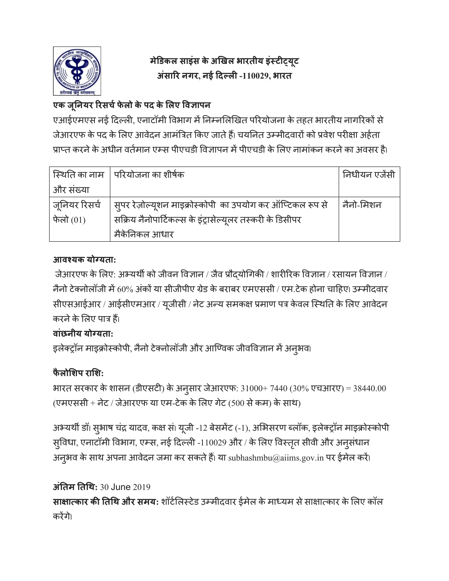

# **मे#डकल साइंस केअ,खल भारतीय इं3ट56यू ट अंसा8र नगर, नई <द>ल5 -110029, भारत**

## **एक जूAनयर 8रसचCफे लो केपद केGलए HवJापन**

एआईएमएस नई दिल्ली, एनाटॉमी विभाग में निम्नलिखित परियोजना के तहत भारतीय नागरिकों से जेआरएफ के पद के लिए आवेदन आमंत्रित किए जाते हैं। चयनित उम्मीदवारों को प्रवेश परीक्षा अर्हता प्राप्त करने के अधीन वर्तमान एम्स पीएचडी विज्ञापन में पीएचडी के लिए नामांकन करने का अवसर है।

|               | स्थिति का नाम   परियोजना का शीर्षक                        | ' निधीयन एजेंसी |
|---------------|-----------------------------------------------------------|-----------------|
| और संख्या     |                                                           |                 |
| जूनियर रिसर्च | स्पर रेज़ोल्यूशन माइक्रोस्कोपी का उपयोग कर ऑप्टिकल रूप से | नैनो-मिशन       |
| फेलो $(01)$   | सक्रिय नैनोपार्टिकल्स के इंट्रासेल्यूलर तस्करी के डिसीपर  |                 |
|               | मैकेनिकल आधार                                             |                 |

## **आवLयक योMयता:**

जेआरएफ के लिए: अभ्यर्थी को जीवन विज्ञान / जैव प्रौद्योगिकी / शारीरिक विज्ञान / रसायन विज्ञान / नैनो टेक्नोलॉजी में 60% अंकों या सीजीपीए ग्रेड के बराबर एमएससी / एम.टेक होना चाहिए। उम्मीदवार सीएसआईआर / आईसीएमआर / यूजीसी / नेट अन्य समकक्ष प्रमाण पत्र केवल स्थिति के लिए आवेदन करने के लिए पात्र हैं।

## **वांछनीय योMयता:**

इलेक्ट्रॉन माइक्रोस्कोपी, नैनो टेक्नोलॉजी और आण्विक जीवविज्ञान में अनुभव।

## **फै लोGशप राGश:**

भारत सरकार के शासन (डीएसटी) के अनुसार जेआरएफ: 31000+ 7440 (30% एचआरए) = 38440.00  $($ एमएससी + नेट / जेआरएफ या एम-टेक के लिए गेट (500 से कम) के साथ)

अभ्यर्थी डॉ। सुभाष चंद्र यादव, कक्ष सं। यूजी -12 बेसमेंट (-1), अभिसरण ब्लॉक, इलेक्ट्रॉन माइक्रोस्कोपी सुविधा, एनाटॉमी विभाग, एम्स, नई दिल्ली -110029 और / के लिए विस्तृत सीवी और अनुसंधान अनुभव के साथ अपना आवेदन जमा कर सकते हैं। या  $\mathrm{subhashmbu}(\mathscr{Q} \mathrm{aiims.gov.in}$  पर ईमेल करें।

**अंAतम AतQथ:** 30 June 2019

**साक्षात्कार की तिथि और समय:** शॉर्टलिस्टेड उम्मीदवार ईमेल के माध्यम से साक्षात्कार के लिए कॉल करेंगे।